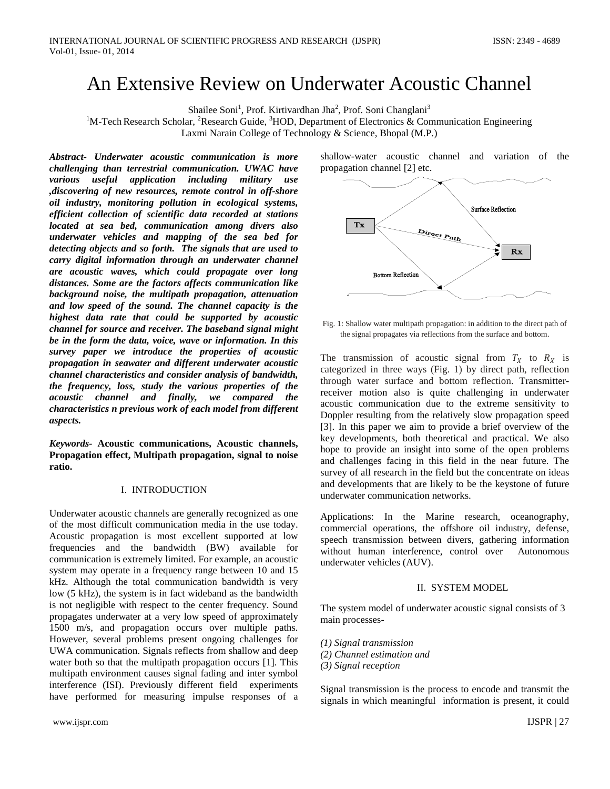# An Extensive Review on Underwater Acoustic Channel

Shailee Soni<sup>1</sup>, Prof. Kirtivardhan Jha<sup>2</sup>, Prof. Soni Changlani<sup>3</sup>

<sup>1</sup>M-Tech Research Scholar, <sup>2</sup>Research Guide, <sup>3</sup>HOD, Department of Electronics & Communication Engineering

Laxmi Narain College of Technology & Science, Bhopal (M.P.)

*Abstract- Underwater acoustic communication is more challenging than terrestrial communication. UWAC have various useful application including military use ,discovering of new resources, remote control in off-shore oil industry, monitoring pollution in ecological systems, efficient collection of scientific data recorded at stations located at sea bed, communication among divers also underwater vehicles and mapping of the sea bed for detecting objects and so forth. The signals that are used to carry digital information through an underwater channel are acoustic waves, which could propagate over long distances. Some are the factors affects communication like background noise, the multipath propagation, attenuation and low speed of the sound. The channel capacity is the highest data rate that could be supported by acoustic channel for source and receiver. The baseband signal might be in the form the data, voice, wave or information. In this survey paper we introduce the properties of acoustic propagation in seawater and different underwater acoustic channel characteristics and consider analysis of bandwidth, the frequency, loss, study the various properties of the acoustic channel and finally, we compared the characteristics n previous work of each model from different aspects.*

*Keywords-* **Acoustic communications, Acoustic channels, Propagation effect, Multipath propagation, signal to noise ratio.**

## I. INTRODUCTION

Underwater acoustic channels are generally recognized as one of the most difficult communication media in the use today. Acoustic propagation is most excellent supported at low frequencies and the bandwidth (BW) available for communication is extremely limited. For example, an acoustic system may operate in a frequency range between 10 and 15 kHz. Although the total communication bandwidth is very low (5 kHz), the system is in fact wideband as the bandwidth is not negligible with respect to the center frequency. Sound propagates underwater at a very low speed of approximately 1500 m/s, and propagation occurs over multiple paths. However, several problems present ongoing challenges for UWA communication. Signals reflects from shallow and deep water both so that the multipath propagation occurs [1]. This multipath environment causes signal fading and inter symbol interference (ISI). Previously different field experiments have performed for measuring impulse responses of a

shallow-water acoustic channel and variation of the propagation channel [2] etc.



Fig. 1: Shallow water multipath propagation: in addition to the direct path of the signal propagates via reflections from the surface and bottom.

The transmission of acoustic signal from  $T_X$  to  $R_X$  is categorized in three ways (Fig. 1) by direct path, reflection through water surface and bottom reflection. Transmitterreceiver motion also is quite challenging in underwater acoustic communication due to the extreme sensitivity to Doppler resulting from the relatively slow propagation speed [3]. In this paper we aim to provide a brief overview of the key developments, both theoretical and practical. We also hope to provide an insight into some of the open problems and challenges facing in this field in the near future. The survey of all research in the field but the concentrate on ideas and developments that are likely to be the keystone of future underwater communication networks.

Applications: In the Marine research, oceanography, commercial operations, the offshore oil industry, defense, speech transmission between divers, gathering information without human interference, control over Autonomous underwater vehicles (AUV).

## II. SYSTEM MODEL

The system model of underwater acoustic signal consists of 3 main processes-

- *(1) Signal transmission*
- *(2) Channel estimation and*
- *(3) Signal reception*

Signal transmission is the process to encode and transmit the signals in which meaningful information is present, it could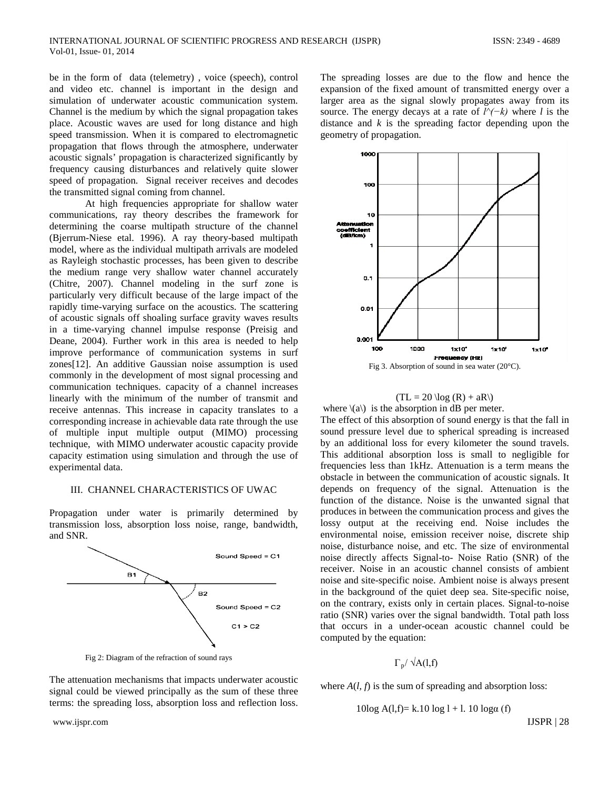be in the form of data (telemetry) , voice (speech), control and video etc. channel is important in the design and simulation of underwater acoustic communication system. Channel is the medium by which the signal propagation takes place. Acoustic waves are used for long distance and high speed transmission. When it is compared to electromagnetic propagation that flows through the atmosphere, underwater acoustic signals' propagation is characterized significantly by frequency causing disturbances and relatively quite slower speed of propagation. Signal receiver receives and decodes the transmitted signal coming from channel.

At high frequencies appropriate for shallow water communications, ray theory describes the framework for determining the coarse multipath structure of the channel (Bjerrum-Niese etal. 1996). A ray theory-based multipath model, where as the individual multipath arrivals are modeled as Rayleigh stochastic processes, has been given to describe the medium range very shallow water channel accurately (Chitre, 2007). Channel modeling in the surf zone is particularly very difficult because of the large impact of the rapidly time-varying surface on the acoustics. The scattering of acoustic signals off shoaling surface gravity waves results in a time-varying channel impulse response (Preisig and Deane, 2004). Further work in this area is needed to help improve performance of communication systems in surf zones[12]. An additive Gaussian noise assumption is used commonly in the development of most signal processing and communication techniques. capacity of a channel increases linearly with the minimum of the number of transmit and receive antennas. This increase in capacity translates to a corresponding increase in achievable data rate through the use of multiple input multiple output (MIMO) processing technique, with MIMO underwater acoustic capacity provide capacity estimation using simulation and through the use of experimental data.

#### III. CHANNEL CHARACTERISTICS OF UWAC

Propagation under water is primarily determined by transmission loss, absorption loss noise, range, bandwidth, and SNR.



The attenuation mechanisms that impacts underwater acoustic signal could be viewed principally as the sum of these three terms: the spreading loss, absorption loss and reflection loss.

Fig 2: Diagram of the refraction of sound rays

The spreading losses are due to the flow and hence the expansion of the fixed amount of transmitted energy over a larger area as the signal slowly propagates away from its source. The energy decays at a rate of *l^(−k)* where *l* is the distance and *k* is the spreading factor depending upon the geometry of propagation.



$$
(TL = 20 \log (R) + aR)
$$

where  $\langle \langle a \rangle \rangle$  is the absorption in dB per meter.

The effect of this absorption of sound energy is that the fall in sound pressure level due to spherical spreading is increased by an additional loss for every kilometer the sound travels. This additional absorption loss is small to negligible for frequencies less than 1kHz. Attenuation is a term means the obstacle in between the communication of acoustic signals. It depends on frequency of the signal. Attenuation is the function of the distance. Noise is the unwanted signal that produces in between the communication process and gives the lossy output at the receiving end. Noise includes the environmental noise, emission receiver noise, discrete ship noise, disturbance noise, and etc. The size of environmental noise directly affects Signal-to- Noise Ratio (SNR) of the receiver. Noise in an acoustic channel consists of ambient noise and site-specific noise. Ambient noise is always present in the background of the quiet deep sea. Site-specific noise, on the contrary, exists only in certain places. Signal-to-noise ratio (SNR) varies over the signal bandwidth. Total path loss that occurs in a under-ocean acoustic channel could be computed by the equation:

 $\Gamma_p / \sqrt{A(1,f)}$ 

where  $A(l, f)$  is the sum of spreading and absorption loss:

$$
10\log A(l,f) = k.10 \log l + l. 10 \log \alpha(f)
$$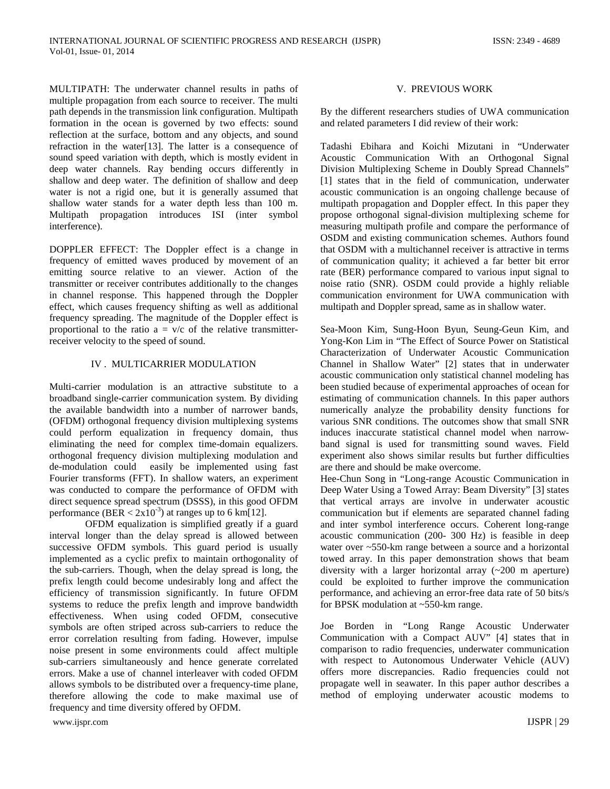MULTIPATH: The underwater channel results in paths of multiple propagation from each source to receiver. The multi path depends in the transmission link configuration. Multipath formation in the ocean is governed by two effects: sound reflection at the surface, bottom and any objects, and sound refraction in the water[13]. The latter is a consequence of sound speed variation with depth, which is mostly evident in deep water channels. Ray bending occurs differently in shallow and deep water. The definition of shallow and deep water is not a rigid one, but it is generally assumed that shallow water stands for a water depth less than 100 m. Multipath propagation introduces ISI (inter symbol interference).

DOPPLER EFFECT: The Doppler effect is a change in frequency of emitted waves produced by movement of an emitting source relative to an viewer. Action of the transmitter or receiver contributes additionally to the changes in channel response. This happened through the Doppler effect, which causes frequency shifting as well as additional frequency spreading. The magnitude of the Doppler effect is proportional to the ratio  $a = v/c$  of the relative transmitterreceiver velocity to the speed of sound.

## IV . MULTICARRIER MODULATION

Multi-carrier modulation is an attractive substitute to a broadband single-carrier communication system. By dividing the available bandwidth into a number of narrower bands, (OFDM) orthogonal frequency division multiplexing systems could perform equalization in frequency domain, thus eliminating the need for complex time-domain equalizers. orthogonal frequency division multiplexing modulation and de-modulation could easily be implemented using fast Fourier transforms (FFT). In shallow waters, an experiment was conducted to compare the performance of OFDM with direct sequence spread spectrum (DSSS), in this good OFDM performance (BER <  $2x10^{-3}$ ) at ranges up to 6 km[12].

OFDM equalization is simplified greatly if a guard interval longer than the delay spread is allowed between successive OFDM symbols. This guard period is usually implemented as a cyclic prefix to maintain orthogonality of the sub-carriers. Though, when the delay spread is long, the prefix length could become undesirably long and affect the efficiency of transmission significantly. In future OFDM systems to reduce the prefix length and improve bandwidth effectiveness. When using coded OFDM, consecutive symbols are often striped across sub-carriers to reduce the error correlation resulting from fading. However, impulse noise present in some environments could affect multiple sub-carriers simultaneously and hence generate correlated errors. Make a use of channel interleaver with coded OFDM allows symbols to be distributed over a frequency-time plane, therefore allowing the code to make maximal use of frequency and time diversity offered by OFDM.

# V. PREVIOUS WORK

By the different researchers studies of UWA communication and related parameters I did review of their work:

Tadashi Ebihara and Koichi Mizutani in "Underwater Acoustic Communication With an Orthogonal Signal Division Multiplexing Scheme in Doubly Spread Channels" [1] states that in the field of communication, underwater acoustic communication is an ongoing challenge because of multipath propagation and Doppler effect. In this paper they propose orthogonal signal-division multiplexing scheme for measuring multipath profile and compare the performance of OSDM and existing communication schemes. Authors found that OSDM with a multichannel receiver is attractive in terms of communication quality; it achieved a far better bit error rate (BER) performance compared to various input signal to noise ratio (SNR). OSDM could provide a highly reliable communication environment for UWA communication with multipath and Doppler spread, same as in shallow water.

Sea-Moon Kim, Sung-Hoon Byun, Seung-Geun Kim, and Yong-Kon Lim in "The Effect of Source Power on Statistical Characterization of Underwater Acoustic Communication Channel in Shallow Water" [2] states that in underwater acoustic communication only statistical channel modeling has been studied because of experimental approaches of ocean for estimating of communication channels. In this paper authors numerically analyze the probability density functions for various SNR conditions. The outcomes show that small SNR induces inaccurate statistical channel model when narrowband signal is used for transmitting sound waves. Field experiment also shows similar results but further difficulties are there and should be make overcome.

Hee-Chun Song in "Long-range Acoustic Communication in Deep Water Using a Towed Array: Beam Diversity" [3] states that vertical arrays are involve in underwater acoustic communication but if elements are separated channel fading and inter symbol interference occurs. Coherent long-range acoustic communication (200- 300 Hz) is feasible in deep water over ~550-km range between a source and a horizontal towed array. In this paper demonstration shows that beam diversity with a larger horizontal array (~200 m aperture) could be exploited to further improve the communication performance, and achieving an error-free data rate of 50 bits/s for BPSK modulation at ~550-km range.

Joe Borden in "Long Range Acoustic Underwater Communication with a Compact AUV" [4] states that in comparison to radio frequencies, underwater communication with respect to Autonomous Underwater Vehicle (AUV) offers more discrepancies. Radio frequencies could not propagate well in seawater. In this paper author describes a method of employing underwater acoustic modems to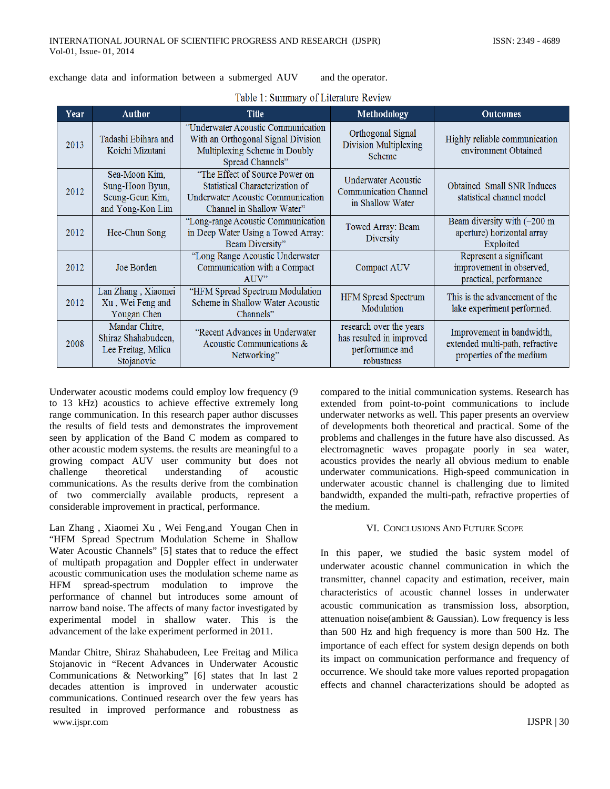exchange data and information between a submerged AUV and the operator.

| Year | <b>Author</b>                                                              | <b>Title</b>                                                                                                                        | Methodology                                                                          | <b>Outcomes</b>                                                                          |
|------|----------------------------------------------------------------------------|-------------------------------------------------------------------------------------------------------------------------------------|--------------------------------------------------------------------------------------|------------------------------------------------------------------------------------------|
| 2013 | Tadashi Ebihara and<br>Koichi Mizutani                                     | "Underwater Acoustic Communication"<br>With an Orthogonal Signal Division<br>Multiplexing Scheme in Doubly<br>Spread Channels"      | Orthogonal Signal<br>Division Multiplexing<br>Scheme                                 | Highly reliable communication<br>environment Obtained                                    |
| 2012 | Sea-Moon Kim,<br>Sung-Hoon Byun,<br>Seung-Geun Kim,<br>and Yong-Kon Lim    | "The Effect of Source Power on<br>Statistical Characterization of<br>Underwater Acoustic Communication<br>Channel in Shallow Water" | Underwater Acoustic<br><b>Communication Channel</b><br>in Shallow Water              | Obtained Small SNR Induces<br>statistical channel model                                  |
| 2012 | Hee-Chun Song                                                              | "Long-range Acoustic Communication<br>in Deep Water Using a Towed Array:<br>Beam Diversity"                                         | Towed Array: Beam<br>Diversity                                                       | Beam diversity with $(\sim 200 \text{ m})$<br>aperture) horizontal array<br>Exploited    |
| 2012 | Joe Borden                                                                 | "Long Range Acoustic Underwater<br>Communication with a Compact<br>AUV"                                                             | <b>Compact AUV</b>                                                                   | Represent a significant<br>improvement in observed,<br>practical, performance            |
| 2012 | Lan Zhang, Xiaomei<br>Xu, Wei Feng and<br>Yougan Chen                      | "HFM Spread Spectrum Modulation<br>Scheme in Shallow Water Acoustic<br>Channels"                                                    | <b>HFM</b> Spread Spectrum<br>Modulation                                             | This is the advancement of the<br>lake experiment performed.                             |
| 2008 | Mandar Chitre,<br>Shiraz Shahabudeen,<br>Lee Freitag, Milica<br>Stojanovic | "Recent Advances in Underwater<br>Acoustic Communications &<br>Networking"                                                          | research over the years<br>has resulted in improved<br>performance and<br>robustness | Improvement in bandwidth,<br>extended multi-path, refractive<br>properties of the medium |

Table 1: Summary of Literature Review

Underwater acoustic modems could employ low frequency (9 to 13 kHz) acoustics to achieve effective extremely long range communication. In this research paper author discusses the results of field tests and demonstrates the improvement seen by application of the Band C modem as compared to other acoustic modem systems. the results are meaningful to a growing compact AUV user community but does not challenge theoretical understanding of acoustic communications. As the results derive from the combination of two commercially available products, represent a considerable improvement in practical, performance.

Lan Zhang , Xiaomei Xu , Wei Feng,and Yougan Chen in "HFM Spread Spectrum Modulation Scheme in Shallow Water Acoustic Channels" [5] states that to reduce the effect of multipath propagation and Doppler effect in underwater acoustic communication uses the modulation scheme name as HFM spread-spectrum modulation to improve the performance of channel but introduces some amount of narrow band noise. The affects of many factor investigated by experimental model in shallow water. This is the advancement of the lake experiment performed in 2011.

Mandar Chitre, Shiraz Shahabudeen, Lee Freitag and Milica Stojanovic in "Recent Advances in Underwater Acoustic Communications & Networking" [6] states that In last 2 decades attention is improved in underwater acoustic communications. Continued research over the few years has resulted in improved performance and robustness as www.ijspr.com **IJSPR** | 30

compared to the initial communication systems. Research has extended from point-to-point communications to include underwater networks as well. This paper presents an overview of developments both theoretical and practical. Some of the problems and challenges in the future have also discussed. As electromagnetic waves propagate poorly in sea water, acoustics provides the nearly all obvious medium to enable underwater communications. High-speed communication in underwater acoustic channel is challenging due to limited bandwidth, expanded the multi-path, refractive properties of the medium.

## VI. CONCLUSIONS AND FUTURE SCOPE

In this paper, we studied the basic system model of underwater acoustic channel communication in which the transmitter, channel capacity and estimation, receiver, main characteristics of acoustic channel losses in underwater acoustic communication as transmission loss, absorption, attenuation noise(ambient & Gaussian). Low frequency is less than 500 Hz and high frequency is more than 500 Hz. The importance of each effect for system design depends on both its impact on communication performance and frequency of occurrence. We should take more values reported propagation effects and channel characterizations should be adopted as